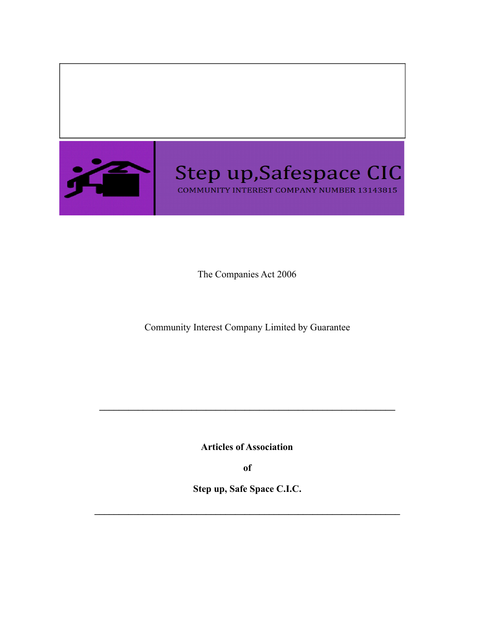

The Companies Act 2006

Community Interest Company Limited by Guarantee

**Articles of Association**

**\_\_\_\_\_\_\_\_\_\_\_\_\_\_\_\_\_\_\_\_\_\_\_\_\_\_\_\_\_\_\_\_\_\_\_\_\_\_\_\_\_\_\_\_\_\_\_\_\_\_\_\_\_\_\_\_\_\_\_\_\_**

**of**

**Step up, Safe Space C.I.C.**

 $\mathcal{L}_\mathcal{L} = \{ \mathcal{L}_\mathcal{L} = \{ \mathcal{L}_\mathcal{L} = \{ \mathcal{L}_\mathcal{L} = \{ \mathcal{L}_\mathcal{L} = \{ \mathcal{L}_\mathcal{L} = \{ \mathcal{L}_\mathcal{L} = \{ \mathcal{L}_\mathcal{L} = \{ \mathcal{L}_\mathcal{L} = \{ \mathcal{L}_\mathcal{L} = \{ \mathcal{L}_\mathcal{L} = \{ \mathcal{L}_\mathcal{L} = \{ \mathcal{L}_\mathcal{L} = \{ \mathcal{L}_\mathcal{L} = \{ \mathcal{L}_\mathcal{$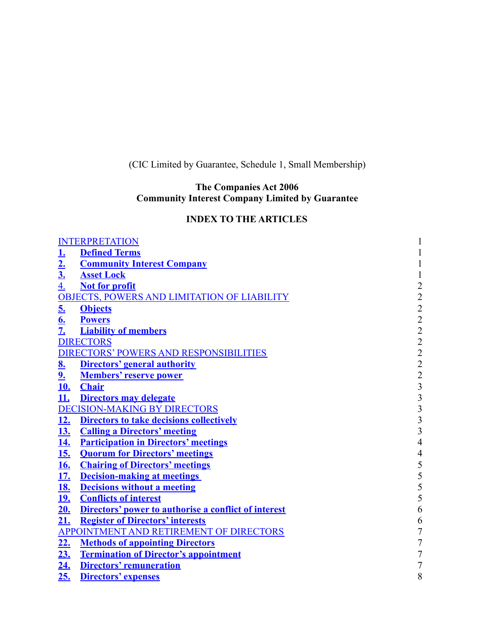(CIC Limited by Guarantee, Schedule 1, Small Membership)

## **The Companies Act 2006 Community Interest Company Limited by Guarantee**

# **INDEX TO THE ARTICLES**

| <b>INTERPRETATION</b><br>$\mathbf{1}$ |                                                      |                                            |  |
|---------------------------------------|------------------------------------------------------|--------------------------------------------|--|
|                                       | <b>Defined Terms</b>                                 | $\mathbf{1}$                               |  |
|                                       | <b>Community Interest Company</b>                    | $\mathbf{1}$                               |  |
| $\frac{1}{2}$ .<br>$\frac{2}{3}$ .    | <b>Asset Lock</b>                                    | $\mathbf 1$                                |  |
| 4.                                    | <b>Not for profit</b>                                |                                            |  |
|                                       | <b>OBJECTS, POWERS AND LIMITATION OF LIABILITY</b>   |                                            |  |
| 5.                                    | <b>Objects</b>                                       |                                            |  |
| $\frac{6}{7}$                         | <b>Powers</b>                                        |                                            |  |
|                                       | <b>Liability of members</b>                          |                                            |  |
|                                       | <b>DIRECTORS</b>                                     |                                            |  |
|                                       | <b>DIRECTORS' POWERS AND RESPONSIBILITIES</b>        |                                            |  |
| 8.                                    | <b>Directors' general authority</b>                  | 22222222333333                             |  |
| <u>9.</u>                             | <b>Members' reserve power</b>                        |                                            |  |
| <u>10.</u>                            | <b>Chair</b>                                         |                                            |  |
| <u>11.</u>                            | <b>Directors may delegate</b>                        |                                            |  |
|                                       | <b>DECISION-MAKING BY DIRECTORS</b>                  |                                            |  |
| <u>12.</u>                            | <b>Directors to take decisions collectively</b>      |                                            |  |
| <u>13.</u>                            | <b>Calling a Directors' meeting</b>                  |                                            |  |
| <u>14.</u>                            | <b>Participation in Directors' meetings</b>          | $\overline{4}$                             |  |
| <u>15.</u>                            | <b>Quorum for Directors' meetings</b>                | $\overline{4}$                             |  |
| <u>16.</u>                            | <b>Chairing of Directors' meetings</b>               | $\begin{array}{c} 5 \\ 5 \\ 5 \end{array}$ |  |
| <u>17.</u>                            | <b>Decision-making at meetings</b>                   |                                            |  |
| <u>18.</u>                            | <b>Decisions without a meeting</b>                   |                                            |  |
| <u>19.</u>                            | <b>Conflicts of interest</b>                         | 5                                          |  |
| <u>20.</u>                            | Directors' power to authorise a conflict of interest | 6                                          |  |
| 21.                                   | <b>Register of Directors' interests</b>              | $\sqrt{6}$                                 |  |
|                                       | <b>APPOINTMENT AND RETIREMENT OF DIRECTORS</b>       | $\overline{7}$                             |  |
| <u>22.</u>                            | <b>Methods of appointing Directors</b>               | $\overline{7}$                             |  |
| 23.                                   | <b>Termination of Director's appointment</b>         | $\overline{7}$                             |  |
| <u>24.</u>                            | <b>Directors' remuneration</b>                       | $\overline{7}$                             |  |
| 25.                                   | <b>Directors' expenses</b>                           | 8                                          |  |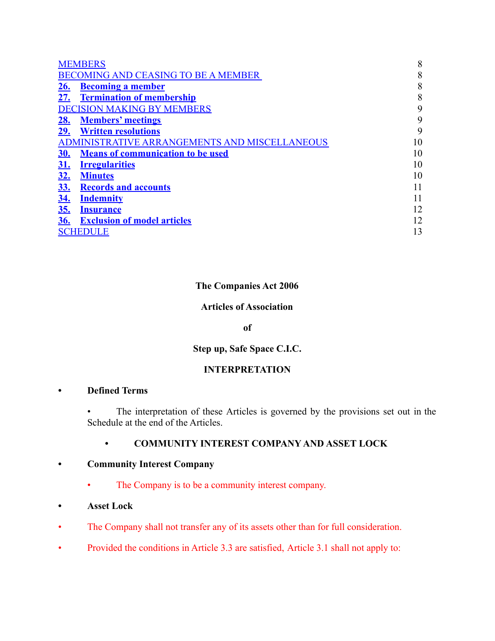| <b>MEMBERS</b> |                                               |    |
|----------------|-----------------------------------------------|----|
|                | <b>BECOMING AND CEASING TO BE A MEMBER</b>    | 8  |
| 26.            | <b>Becoming a member</b>                      | 8  |
| 27.            | <b>Termination of membership</b>              | 8  |
|                | <b>DECISION MAKING BY MEMBERS</b>             | 9  |
| <u>28.</u>     | <b>Members' meetings</b>                      | 9  |
| 29.            | <b>Written resolutions</b>                    | 9  |
|                | ADMINISTRATIVE ARRANGEMENTS AND MISCELLANEOUS | 10 |
| <u>30.</u>     | <b>Means of communication to be used</b>      | 10 |
| <u>31.</u>     | <b>Irregularities</b>                         | 10 |
| <u>32.</u>     | <b>Minutes</b>                                | 10 |
| <u>33.</u>     | <b>Records and accounts</b>                   | 11 |
| <u>34.</u>     | <b>Indemnity</b>                              | 11 |
| <u>35.</u>     | <b>Insurance</b>                              | 12 |
| <b>36.</b>     | <b>Exclusion of model articles</b>            | 12 |
|                | <b>SCHEDULE</b>                               | 13 |

# **The Companies Act 2006**

## **Articles of Association**

#### **of**

# **Step up, Safe Space C.I.C.**

# **INTERPRETATION**

# **• Defined Terms**

• The interpretation of these Articles is governed by the provisions set out in the Schedule at the end of the Articles.

## **• COMMUNITY INTEREST COMPANY AND ASSET LOCK**

# **• Community Interest Company**

- The Company is to be a community interest company.
- **• Asset Lock**
- The Company shall not transfer any of its assets other than for full consideration.
- Provided the conditions in Article 3.3 are satisfied, Article 3.1 shall not apply to: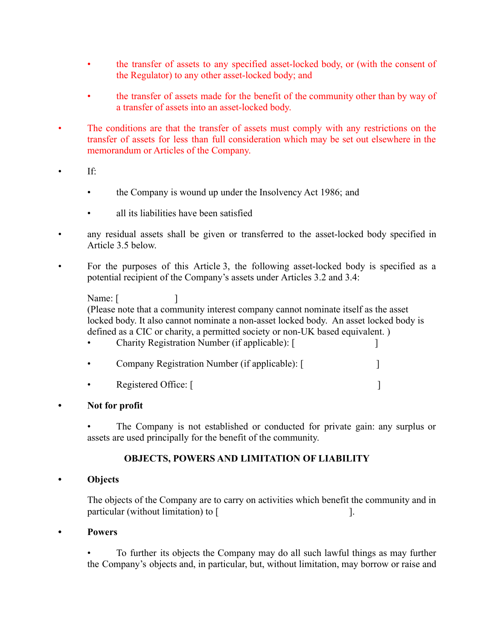- the transfer of assets to any specified asset-locked body, or (with the consent of the Regulator) to any other asset-locked body; and
- the transfer of assets made for the benefit of the community other than by way of a transfer of assets into an asset-locked body.
- The conditions are that the transfer of assets must comply with any restrictions on the transfer of assets for less than full consideration which may be set out elsewhere in the memorandum or Articles of the Company.
	- $If:$ 
		- the Company is wound up under the Insolvency Act 1986; and
		- all its liabilities have been satisfied
- any residual assets shall be given or transferred to the asset-locked body specified in Article 3.5 below.
- For the purposes of this Article 3, the following asset-locked body is specified as a potential recipient of the Company's assets under Articles 3.2 and 3.4:

Name:  $\lceil$ (Please note that a community interest company cannot nominate itself as the asset locked body. It also cannot nominate a non-asset locked body. An asset locked body is defined as a CIC or charity, a permitted society or non-UK based equivalent. ) • Charity Registration Number (if applicable): [ ]

- Company Registration Number (if applicable): [
- Registered Office: [
- **• Not for profit**

• The Company is not established or conducted for private gain: any surplus or assets are used principally for the benefit of the community.

# **OBJECTS, POWERS AND LIMITATION OF LIABILITY**

## **• Objects**

The objects of the Company are to carry on activities which benefit the community and in particular (without limitation) to [

**• Powers**

• To further its objects the Company may do all such lawful things as may further the Company's objects and, in particular, but, without limitation, may borrow or raise and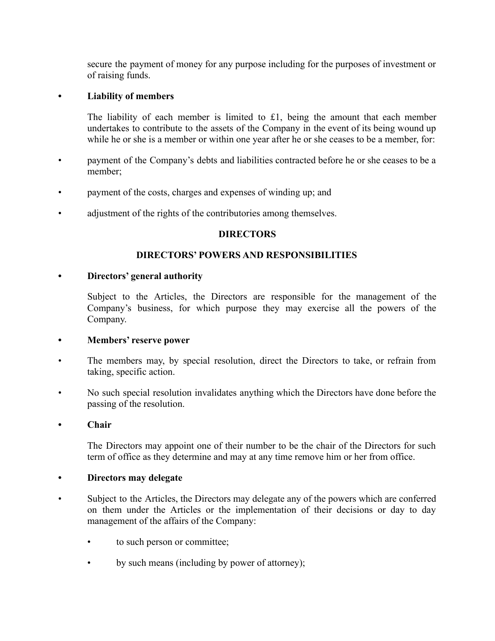secure the payment of money for any purpose including for the purposes of investment or of raising funds.

#### **• Liability of members**

The liability of each member is limited to £1, being the amount that each member undertakes to contribute to the assets of the Company in the event of its being wound up while he or she is a member or within one year after he or she ceases to be a member, for:

- payment of the Company's debts and liabilities contracted before he or she ceases to be a member;
- payment of the costs, charges and expenses of winding up; and
- adjustment of the rights of the contributories among themselves.

#### **DIRECTORS**

#### **DIRECTORS' POWERS AND RESPONSIBILITIES**

#### **• Directors' general authority**

Subject to the Articles, the Directors are responsible for the management of the Company's business, for which purpose they may exercise all the powers of the Company.

#### **• Members' reserve power**

- The members may, by special resolution, direct the Directors to take, or refrain from taking, specific action.
- No such special resolution invalidates anything which the Directors have done before the passing of the resolution.

#### **• Chair**

The Directors may appoint one of their number to be the chair of the Directors for such term of office as they determine and may at any time remove him or her from office.

#### **• Directors may delegate**

- Subject to the Articles, the Directors may delegate any of the powers which are conferred on them under the Articles or the implementation of their decisions or day to day management of the affairs of the Company:
	- to such person or committee;
	- by such means (including by power of attorney);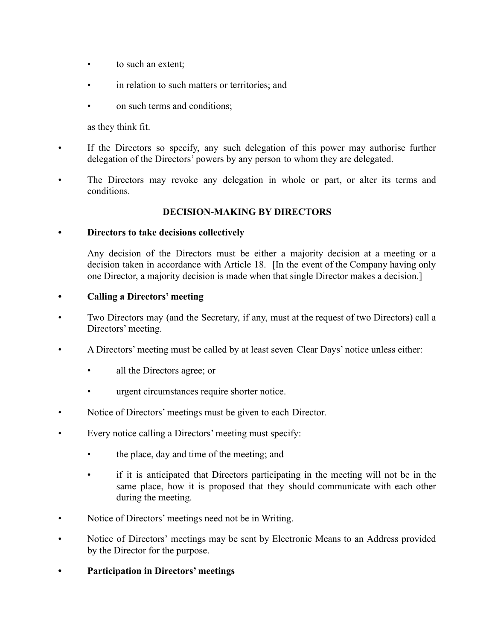- to such an extent;
- in relation to such matters or territories; and
- on such terms and conditions;

as they think fit.

- If the Directors so specify, any such delegation of this power may authorise further delegation of the Directors' powers by any person to whom they are delegated.
- The Directors may revoke any delegation in whole or part, or alter its terms and conditions.

## **DECISION-MAKING BY DIRECTORS**

#### **• Directors to take decisions collectively**

Any decision of the Directors must be either a majority decision at a meeting or a decision taken in accordance with Article 18. [In the event of the Company having only one Director, a majority decision is made when that single Director makes a decision.]

#### **• Calling a Directors' meeting**

- Two Directors may (and the Secretary, if any, must at the request of two Directors) call a Directors' meeting.
- A Directors' meeting must be called by at least seven Clear Days' notice unless either:
	- all the Directors agree; or
	- urgent circumstances require shorter notice.
- Notice of Directors' meetings must be given to each Director.
- Every notice calling a Directors' meeting must specify:
	- the place, day and time of the meeting; and
	- if it is anticipated that Directors participating in the meeting will not be in the same place, how it is proposed that they should communicate with each other during the meeting.
- Notice of Directors' meetings need not be in Writing.
- Notice of Directors' meetings may be sent by Electronic Means to an Address provided by the Director for the purpose.
- **• Participation in Directors' meetings**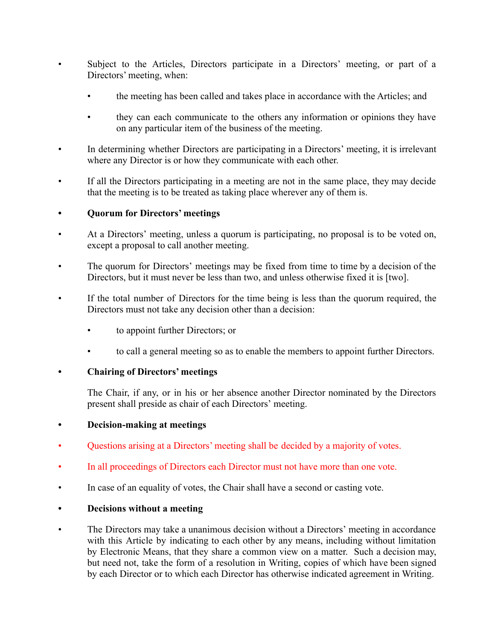- Subject to the Articles, Directors participate in a Directors' meeting, or part of a Directors' meeting, when:
	- the meeting has been called and takes place in accordance with the Articles; and
	- they can each communicate to the others any information or opinions they have on any particular item of the business of the meeting.
- In determining whether Directors are participating in a Directors' meeting, it is irrelevant where any Director is or how they communicate with each other.
- If all the Directors participating in a meeting are not in the same place, they may decide that the meeting is to be treated as taking place wherever any of them is.

# **• Quorum for Directors' meetings**

- At a Directors' meeting, unless a quorum is participating, no proposal is to be voted on, except a proposal to call another meeting.
- The quorum for Directors' meetings may be fixed from time to time by a decision of the Directors, but it must never be less than two, and unless otherwise fixed it is [two].
- If the total number of Directors for the time being is less than the quorum required, the Directors must not take any decision other than a decision:
	- to appoint further Directors; or
	- to call a general meeting so as to enable the members to appoint further Directors.

## **• Chairing of Directors' meetings**

The Chair, if any, or in his or her absence another Director nominated by the Directors present shall preside as chair of each Directors' meeting.

## **• Decision-making at meetings**

- Questions arising at a Directors' meeting shall be decided by a majority of votes.
- In all proceedings of Directors each Director must not have more than one vote.
- In case of an equality of votes, the Chair shall have a second or casting vote.

## **• Decisions without a meeting**

The Directors may take a unanimous decision without a Directors' meeting in accordance with this Article by indicating to each other by any means, including without limitation by Electronic Means, that they share a common view on a matter. Such a decision may, but need not, take the form of a resolution in Writing, copies of which have been signed by each Director or to which each Director has otherwise indicated agreement in Writing.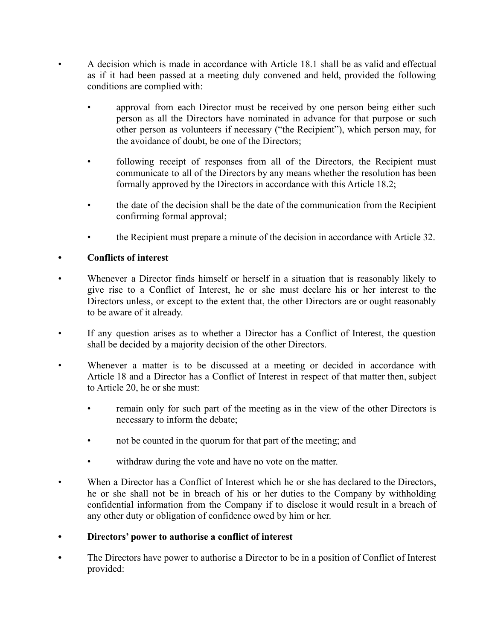- A decision which is made in accordance with Article 18.1 shall be as valid and effectual as if it had been passed at a meeting duly convened and held, provided the following conditions are complied with:
	- approval from each Director must be received by one person being either such person as all the Directors have nominated in advance for that purpose or such other person as volunteers if necessary ("the Recipient"), which person may, for the avoidance of doubt, be one of the Directors;
	- following receipt of responses from all of the Directors, the Recipient must communicate to all of the Directors by any means whether the resolution has been formally approved by the Directors in accordance with this Article 18.2;
	- the date of the decision shall be the date of the communication from the Recipient confirming formal approval;
	- the Recipient must prepare a minute of the decision in accordance with Article 32.

## **• Conflicts of interest**

- Whenever a Director finds himself or herself in a situation that is reasonably likely to give rise to a Conflict of Interest, he or she must declare his or her interest to the Directors unless, or except to the extent that, the other Directors are or ought reasonably to be aware of it already.
- If any question arises as to whether a Director has a Conflict of Interest, the question shall be decided by a majority decision of the other Directors.
- Whenever a matter is to be discussed at a meeting or decided in accordance with Article 18 and a Director has a Conflict of Interest in respect of that matter then, subject to Article 20, he or she must:
	- remain only for such part of the meeting as in the view of the other Directors is necessary to inform the debate;
	- not be counted in the quorum for that part of the meeting; and
	- withdraw during the vote and have no vote on the matter.
- When a Director has a Conflict of Interest which he or she has declared to the Directors, he or she shall not be in breach of his or her duties to the Company by withholding confidential information from the Company if to disclose it would result in a breach of any other duty or obligation of confidence owed by him or her.

## **• Directors' power to authorise a conflict of interest**

**•** The Directors have power to authorise a Director to be in a position of Conflict of Interest provided: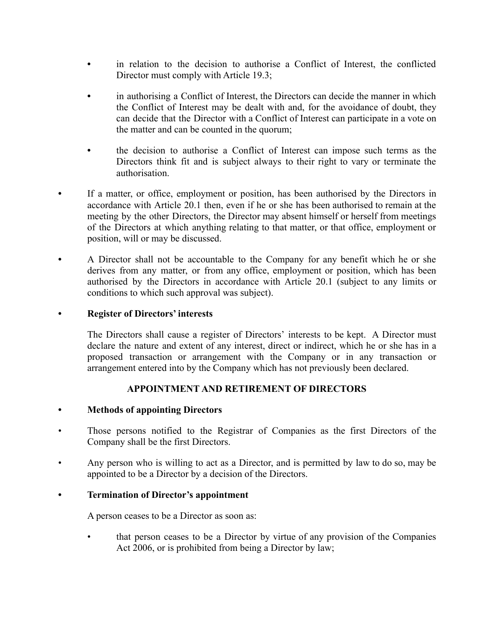- **•** in relation to the decision to authorise a Conflict of Interest, the conflicted Director must comply with Article 19.3;
- **•** in authorising a Conflict of Interest, the Directors can decide the manner in which the Conflict of Interest may be dealt with and, for the avoidance of doubt, they can decide that the Director with a Conflict of Interest can participate in a vote on the matter and can be counted in the quorum;
- **•** the decision to authorise a Conflict of Interest can impose such terms as the Directors think fit and is subject always to their right to vary or terminate the authorisation.
- If a matter, or office, employment or position, has been authorised by the Directors in accordance with Article 20.1 then, even if he or she has been authorised to remain at the meeting by the other Directors, the Director may absent himself or herself from meetings of the Directors at which anything relating to that matter, or that office, employment or position, will or may be discussed.
- **•** A Director shall not be accountable to the Company for any benefit which he or she derives from any matter, or from any office, employment or position, which has been authorised by the Directors in accordance with Article 20.1 (subject to any limits or conditions to which such approval was subject).

## **• Register of Directors' interests**

The Directors shall cause a register of Directors' interests to be kept. A Director must declare the nature and extent of any interest, direct or indirect, which he or she has in a proposed transaction or arrangement with the Company or in any transaction or arrangement entered into by the Company which has not previously been declared.

## **APPOINTMENT AND RETIREMENT OF DIRECTORS**

## **• Methods of appointing Directors**

- Those persons notified to the Registrar of Companies as the first Directors of the Company shall be the first Directors.
- Any person who is willing to act as a Director, and is permitted by law to do so, may be appointed to be a Director by a decision of the Directors.

## **• Termination of Director's appointment**

A person ceases to be a Director as soon as:

• that person ceases to be a Director by virtue of any provision of the Companies Act 2006, or is prohibited from being a Director by law;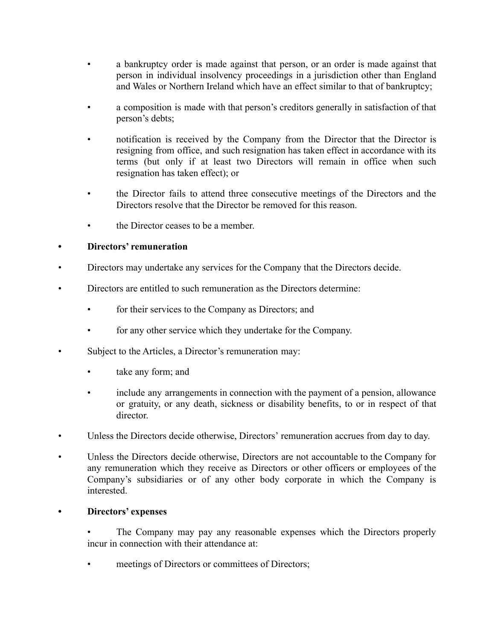- a bankruptcy order is made against that person, or an order is made against that person in individual insolvency proceedings in a jurisdiction other than England and Wales or Northern Ireland which have an effect similar to that of bankruptcy;
- a composition is made with that person's creditors generally in satisfaction of that person's debts;
- notification is received by the Company from the Director that the Director is resigning from office, and such resignation has taken effect in accordance with its terms (but only if at least two Directors will remain in office when such resignation has taken effect); or
- the Director fails to attend three consecutive meetings of the Directors and the Directors resolve that the Director be removed for this reason.
- the Director ceases to be a member.

# **• Directors' remuneration**

- Directors may undertake any services for the Company that the Directors decide.
- Directors are entitled to such remuneration as the Directors determine:
	- for their services to the Company as Directors; and
	- for any other service which they undertake for the Company.
- Subject to the Articles, a Director's remuneration may:
	- take any form; and
	- include any arrangements in connection with the payment of a pension, allowance or gratuity, or any death, sickness or disability benefits, to or in respect of that director.
- Unless the Directors decide otherwise, Directors' remuneration accrues from day to day.
- Unless the Directors decide otherwise, Directors are not accountable to the Company for any remuneration which they receive as Directors or other officers or employees of the Company's subsidiaries or of any other body corporate in which the Company is interested.

## **• Directors' expenses**

- The Company may pay any reasonable expenses which the Directors properly incur in connection with their attendance at:
- meetings of Directors or committees of Directors;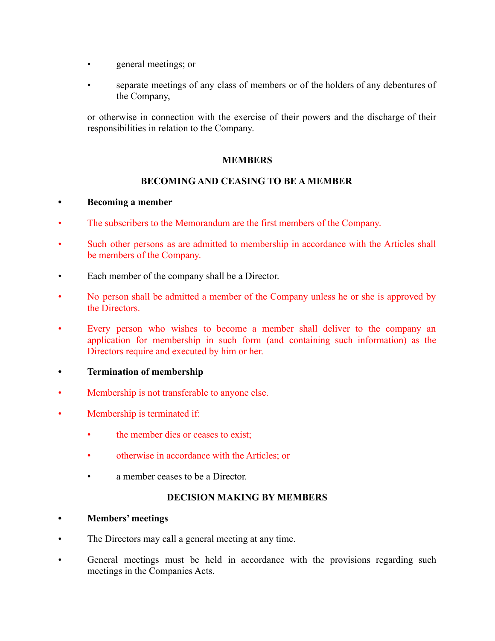- general meetings; or
- separate meetings of any class of members or of the holders of any debentures of the Company,

or otherwise in connection with the exercise of their powers and the discharge of their responsibilities in relation to the Company.

## **MEMBERS**

# **BECOMING AND CEASING TO BE A MEMBER**

## **• Becoming a member**

- The subscribers to the Memorandum are the first members of the Company.
- Such other persons as are admitted to membership in accordance with the Articles shall be members of the Company.
- Each member of the company shall be a Director.
- No person shall be admitted a member of the Company unless he or she is approved by the Directors.
- Every person who wishes to become a member shall deliver to the company an application for membership in such form (and containing such information) as the Directors require and executed by him or her.
- **• Termination of membership**
- Membership is not transferable to anyone else.
- Membership is terminated if:
	- the member dies or ceases to exist;
	- otherwise in accordance with the Articles; or
	- a member ceases to be a Director.

## **DECISION MAKING BY MEMBERS**

- **• Members' meetings**
- The Directors may call a general meeting at any time.
- General meetings must be held in accordance with the provisions regarding such meetings in the Companies Acts.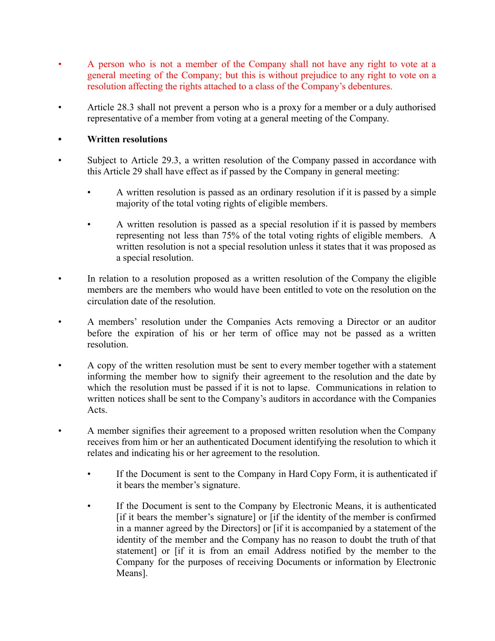- A person who is not a member of the Company shall not have any right to vote at a general meeting of the Company; but this is without prejudice to any right to vote on a resolution affecting the rights attached to a class of the Company's debentures.
- Article 28.3 shall not prevent a person who is a proxy for a member or a duly authorised representative of a member from voting at a general meeting of the Company.

#### **• Written resolutions**

- Subject to Article 29.3, a written resolution of the Company passed in accordance with this Article 29 shall have effect as if passed by the Company in general meeting:
	- A written resolution is passed as an ordinary resolution if it is passed by a simple majority of the total voting rights of eligible members.
	- A written resolution is passed as a special resolution if it is passed by members representing not less than 75% of the total voting rights of eligible members. A written resolution is not a special resolution unless it states that it was proposed as a special resolution.
- In relation to a resolution proposed as a written resolution of the Company the eligible members are the members who would have been entitled to vote on the resolution on the circulation date of the resolution.
- A members' resolution under the Companies Acts removing a Director or an auditor before the expiration of his or her term of office may not be passed as a written resolution.
- A copy of the written resolution must be sent to every member together with a statement informing the member how to signify their agreement to the resolution and the date by which the resolution must be passed if it is not to lapse. Communications in relation to written notices shall be sent to the Company's auditors in accordance with the Companies Acts.
- A member signifies their agreement to a proposed written resolution when the Company receives from him or her an authenticated Document identifying the resolution to which it relates and indicating his or her agreement to the resolution.
	- If the Document is sent to the Company in Hard Copy Form, it is authenticated if it bears the member's signature.
	- If the Document is sent to the Company by Electronic Means, it is authenticated [if it bears the member's signature] or [if the identity of the member is confirmed in a manner agreed by the Directors] or [if it is accompanied by a statement of the identity of the member and the Company has no reason to doubt the truth of that statement] or [if it is from an email Address notified by the member to the Company for the purposes of receiving Documents or information by Electronic Means].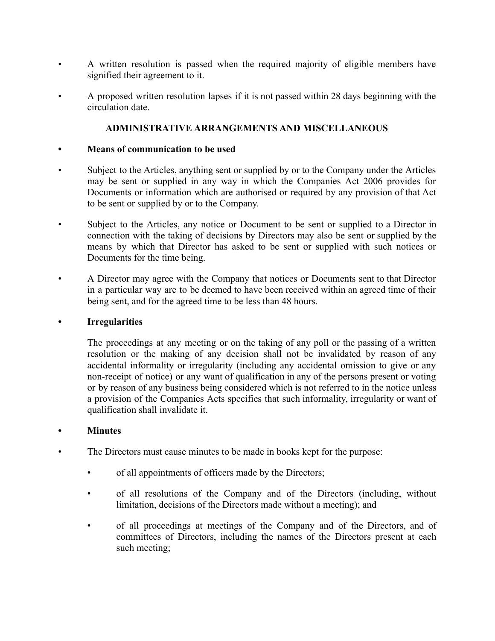- A written resolution is passed when the required majority of eligible members have signified their agreement to it.
- A proposed written resolution lapses if it is not passed within 28 days beginning with the circulation date.

# **ADMINISTRATIVE ARRANGEMENTS AND MISCELLANEOUS**

#### **• Means of communication to be used**

- Subject to the Articles, anything sent or supplied by or to the Company under the Articles may be sent or supplied in any way in which the Companies Act 2006 provides for Documents or information which are authorised or required by any provision of that Act to be sent or supplied by or to the Company.
- Subject to the Articles, any notice or Document to be sent or supplied to a Director in connection with the taking of decisions by Directors may also be sent or supplied by the means by which that Director has asked to be sent or supplied with such notices or Documents for the time being.
- A Director may agree with the Company that notices or Documents sent to that Director in a particular way are to be deemed to have been received within an agreed time of their being sent, and for the agreed time to be less than 48 hours.

#### **• Irregularities**

The proceedings at any meeting or on the taking of any poll or the passing of a written resolution or the making of any decision shall not be invalidated by reason of any accidental informality or irregularity (including any accidental omission to give or any non-receipt of notice) or any want of qualification in any of the persons present or voting or by reason of any business being considered which is not referred to in the notice unless a provision of the Companies Acts specifies that such informality, irregularity or want of qualification shall invalidate it.

## **• Minutes**

- The Directors must cause minutes to be made in books kept for the purpose:
	- of all appointments of officers made by the Directors;
	- of all resolutions of the Company and of the Directors (including, without limitation, decisions of the Directors made without a meeting); and
	- of all proceedings at meetings of the Company and of the Directors, and of committees of Directors, including the names of the Directors present at each such meeting;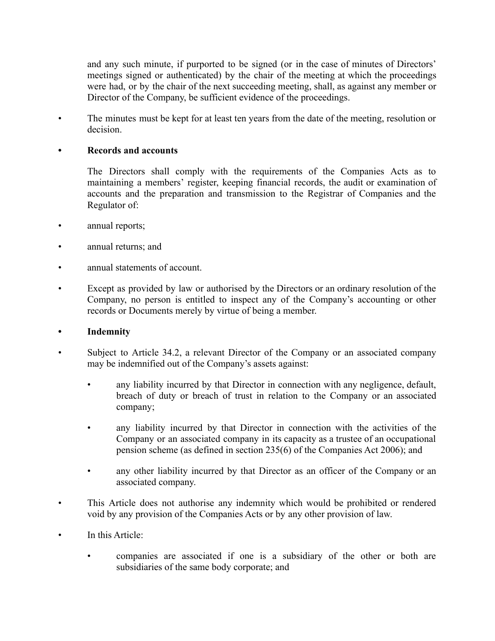and any such minute, if purported to be signed (or in the case of minutes of Directors' meetings signed or authenticated) by the chair of the meeting at which the proceedings were had, or by the chair of the next succeeding meeting, shall, as against any member or Director of the Company, be sufficient evidence of the proceedings.

• The minutes must be kept for at least ten years from the date of the meeting, resolution or decision.

#### **• Records and accounts**

The Directors shall comply with the requirements of the Companies Acts as to maintaining a members' register, keeping financial records, the audit or examination of accounts and the preparation and transmission to the Registrar of Companies and the Regulator of:

- annual reports;
- annual returns; and
- annual statements of account.
- Except as provided by law or authorised by the Directors or an ordinary resolution of the Company, no person is entitled to inspect any of the Company's accounting or other records or Documents merely by virtue of being a member.

#### **• Indemnity**

- Subject to Article 34.2, a relevant Director of the Company or an associated company may be indemnified out of the Company's assets against:
	- any liability incurred by that Director in connection with any negligence, default, breach of duty or breach of trust in relation to the Company or an associated company;
	- any liability incurred by that Director in connection with the activities of the Company or an associated company in its capacity as a trustee of an occupational pension scheme (as defined in section 235(6) of the Companies Act 2006); and
	- any other liability incurred by that Director as an officer of the Company or an associated company.
- This Article does not authorise any indemnity which would be prohibited or rendered void by any provision of the Companies Acts or by any other provision of law.
- In this Article:
	- companies are associated if one is a subsidiary of the other or both are subsidiaries of the same body corporate; and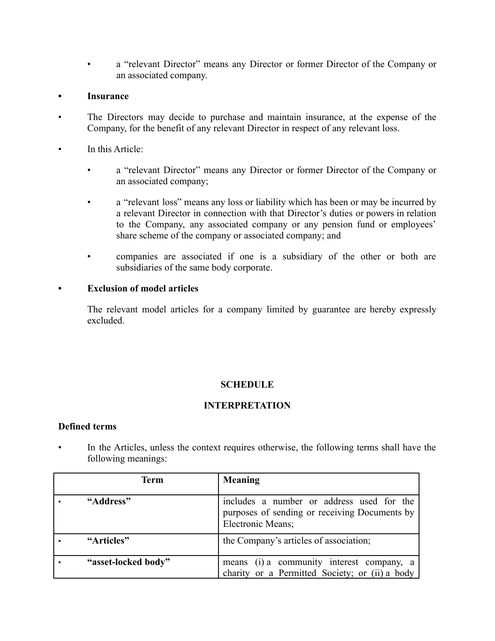• a "relevant Director" means any Director or former Director of the Company or an associated company.

#### **• Insurance**

- The Directors may decide to purchase and maintain insurance, at the expense of the Company, for the benefit of any relevant Director in respect of any relevant loss.
- In this Article:
	- a "relevant Director" means any Director or former Director of the Company or an associated company;
	- a "relevant loss" means any loss or liability which has been or may be incurred by a relevant Director in connection with that Director's duties or powers in relation to the Company, any associated company or any pension fund or employees' share scheme of the company or associated company; and
	- companies are associated if one is a subsidiary of the other or both are subsidiaries of the same body corporate.

#### **• Exclusion of model articles**

The relevant model articles for a company limited by guarantee are hereby expressly excluded.

## **SCHEDULE**

## **INTERPRETATION**

#### **Defined terms**

In the Articles, unless the context requires otherwise, the following terms shall have the following meanings:

| <b>Term</b>         | <b>Meaning</b>                                                                                                  |
|---------------------|-----------------------------------------------------------------------------------------------------------------|
| "Address"           | includes a number or address used for the<br>purposes of sending or receiving Documents by<br>Electronic Means; |
| "Articles"          | the Company's articles of association;                                                                          |
| "asset-locked body" | means (i) a community interest company, a<br>charity or a Permitted Society; or (ii) a body                     |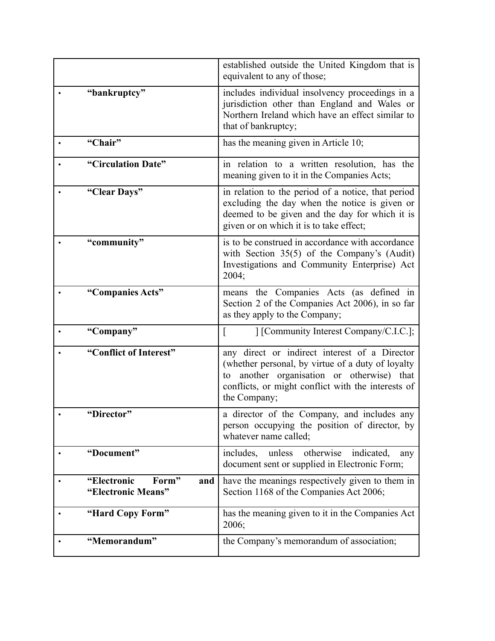|                                                   | established outside the United Kingdom that is<br>equivalent to any of those;                                                                                                                                             |
|---------------------------------------------------|---------------------------------------------------------------------------------------------------------------------------------------------------------------------------------------------------------------------------|
| "bankruptcy"                                      | includes individual insolvency proceedings in a<br>jurisdiction other than England and Wales or<br>Northern Ireland which have an effect similar to<br>that of bankruptcy;                                                |
| "Chair"                                           | has the meaning given in Article 10;                                                                                                                                                                                      |
| "Circulation Date"                                | in relation to a written resolution, has the<br>meaning given to it in the Companies Acts;                                                                                                                                |
| "Clear Days"                                      | in relation to the period of a notice, that period<br>excluding the day when the notice is given or<br>deemed to be given and the day for which it is<br>given or on which it is to take effect;                          |
| "community"                                       | is to be construed in accordance with accordance<br>with Section $35(5)$ of the Company's (Audit)<br>Investigations and Community Enterprise) Act<br>2004;                                                                |
| "Companies Acts"                                  | means the Companies Acts (as defined in<br>Section 2 of the Companies Act 2006), in so far<br>as they apply to the Company;                                                                                               |
| "Company"                                         | [Community Interest Company/C.I.C.];                                                                                                                                                                                      |
| "Conflict of Interest"                            | any direct or indirect interest of a Director<br>(whether personal, by virtue of a duty of loyalty<br>another organisation or otherwise) that<br>to<br>conflicts, or might conflict with the interests of<br>the Company; |
| "Director"                                        | a director of the Company, and includes any<br>person occupying the position of director, by<br>whatever name called;                                                                                                     |
| "Document"                                        | includes, unless otherwise<br>indicated,<br>any<br>document sent or supplied in Electronic Form;                                                                                                                          |
| "Electronic<br>Form"<br>and<br>"Electronic Means" | have the meanings respectively given to them in<br>Section 1168 of the Companies Act 2006;                                                                                                                                |
| "Hard Copy Form"                                  | has the meaning given to it in the Companies Act<br>2006;                                                                                                                                                                 |
| "Memorandum"                                      | the Company's memorandum of association;                                                                                                                                                                                  |